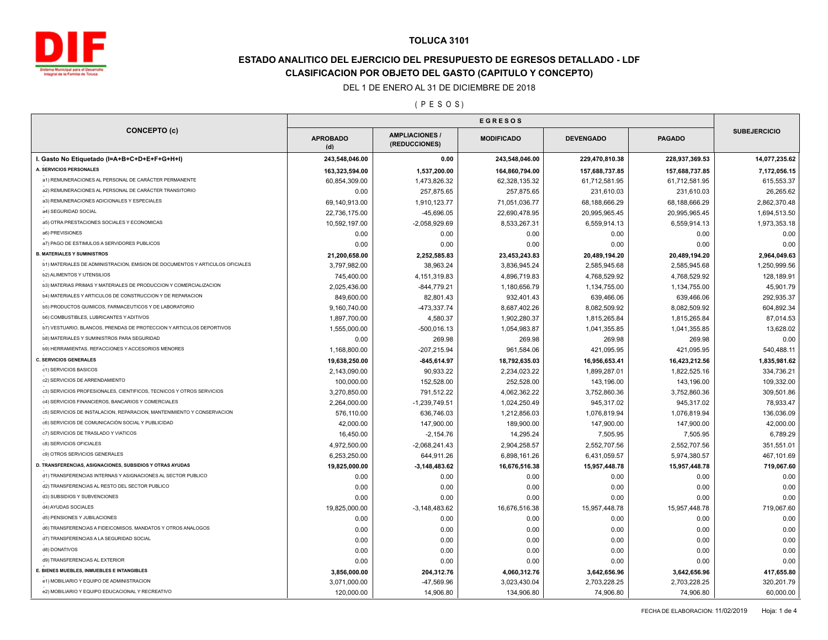

# **ESTADO ANALITICO DEL EJERCICIO DEL PRESUPUESTO DE EGRESOS DETALLADO - LDF CLASIFICACION POR OBJETO DEL GASTO (CAPITULO Y CONCEPTO)**

#### DEL 1 DE ENERO AL 31 DE DICIEMBRE DE 2018

#### ( P E S O S )

| <b>CONCEPTO (c)</b>                                                           | <b>EGRESOS</b>         |                                        |                   |                  |                |                     |
|-------------------------------------------------------------------------------|------------------------|----------------------------------------|-------------------|------------------|----------------|---------------------|
|                                                                               | <b>APROBADO</b><br>(d) | <b>AMPLIACIONES /</b><br>(REDUCCIONES) | <b>MODIFICADO</b> | <b>DEVENGADO</b> | <b>PAGADO</b>  | <b>SUBEJERCICIO</b> |
| I. Gasto No Etiquetado (I=A+B+C+D+E+F+G+H+I)                                  | 243,548,046.00         | 0.00                                   | 243,548,046.00    | 229,470,810.38   | 228,937,369.53 | 14,077,235.62       |
| A. SERVICIOS PERSONALES                                                       | 163,323,594.00         | 1,537,200.00                           | 164,860,794.00    | 157,688,737.85   | 157,688,737.85 | 7,172,056.15        |
| a1) REMUNERACIONES AL PERSONAL DE CARÁCTER PERMANENTE                         | 60,854,309.00          | 1,473,826.32                           | 62,328,135.32     | 61,712,581.95    | 61,712,581.95  | 615,553.37          |
| a2) REMUNERACIONES AL PERSONAL DE CARÁCTER TRANSITORIO                        | 0.00                   | 257.875.65                             | 257,875.65        | 231,610.03       | 231,610.03     | 26,265.62           |
| a3) REMUNERACIONES ADICIONALES Y ESPECIALES                                   | 69,140,913.00          | 1,910,123.77                           | 71,051,036.77     | 68,188,666.29    | 68,188,666.29  | 2,862,370.48        |
| a4) SEGURIDAD SOCIAL                                                          | 22,736,175.00          | -45,696.05                             | 22,690,478.95     | 20,995,965.45    | 20,995,965.45  | 1,694,513.50        |
| a5) OTRA PRESTACIONES SOCIALES Y ECONOMICAS                                   | 10,592,197.00          | $-2,058,929.69$                        | 8,533,267.31      | 6,559,914.13     | 6,559,914.13   | 1,973,353.18        |
| a6) PREVISIONES                                                               | 0.00                   | 0.00                                   | 0.00              | 0.00             | 0.00           | 0.00                |
| a7) PAGO DE ESTIMULOS A SERVIDORES PUBLICOS                                   | 0.00                   | 0.00                                   | 0.00              | 0.00             | 0.00           | 0.00                |
| <b>B. MATERIALES Y SUMINISTROS</b>                                            | 21,200,658.00          | 2,252,585.83                           | 23,453,243.83     | 20,489,194.20    | 20,489,194.20  | 2,964,049.63        |
| b1) MATERIALES DE ADMINISTRACION, EMISION DE DOCUMENTOS Y ARTICULOS OFICIALES | 3,797,982.00           | 38,963.24                              | 3,836,945.24      | 2,585,945.68     | 2,585,945.68   | 1,250,999.56        |
| <b>b2) ALIMENTOS Y UTENSILIOS</b>                                             | 745,400.00             | 4, 151, 319.83                         | 4,896,719.83      | 4,768,529.92     | 4,768,529.92   | 128,189.91          |
| b3) MATERIAS PRIMAS Y MATERIALES DE PRODUCCION Y COMERCIALIZACION             | 2,025,436.00           | $-844,779.21$                          | 1,180,656.79      | 1,134,755.00     | 1,134,755.00   | 45,901.79           |
| b4) MATERIALES Y ARTICULOS DE CONSTRUCCION Y DE REPARACION                    | 849,600.00             | 82,801.43                              | 932,401.43        | 639,466.06       | 639,466.06     | 292,935.37          |
| b5) PRODUCTOS QUIMICOS, FARMACEUTICOS Y DE LABORATORIO                        | 9,160,740.00           | -473,337.74                            | 8,687,402.26      | 8,082,509.92     | 8,082,509.92   | 604,892.34          |
| <b>b6) COMBUSTIBLES, LUBRICANTES Y ADITIVOS</b>                               | 1,897,700.00           | 4,580.37                               | 1,902,280.37      | 1,815,265.84     | 1,815,265.84   | 87,014.53           |
| b7) VESTUARIO, BLANCOS, PRENDAS DE PROTECCION Y ARTICULOS DEPORTIVOS          | 1,555,000.00           | $-500,016.13$                          | 1,054,983.87      | 1,041,355.85     | 1,041,355.85   | 13,628.02           |
| <b>b8) MATERIALES Y SUMINISTROS PARA SEGURIDAD</b>                            | 0.00                   | 269.98                                 | 269.98            | 269.98           | 269.98         | 0.00                |
| b9) HERRAMIENTAS, REFACCIONES Y ACCESORIOS MENORES                            | 1,168,800.00           | $-207,215.94$                          | 961,584.06        | 421,095.95       | 421,095.95     | 540,488.11          |
| <b>C. SERVICIOS GENERALES</b>                                                 | 19,638,250.00          | $-845,614.97$                          | 18,792,635.03     | 16,956,653.41    | 16,423,212.56  | 1,835,981.62        |
| c1) SERVICIOS BASICOS                                                         | 2,143,090.00           | 90,933.22                              | 2,234,023.22      | 1,899,287.01     | 1,822,525.16   | 334,736.21          |
| c2) SERVICIOS DE ARRENDAMIENTO                                                | 100,000.00             | 152,528.00                             | 252,528.00        | 143,196.00       | 143,196.00     | 109,332.00          |
| c3) SERVICIOS PROFESIONALES, CIENTIFICOS, TECNICOS Y OTROS SERVICIOS          | 3,270,850.00           | 791,512.22                             | 4,062,362.22      | 3,752,860.36     | 3,752,860.36   | 309,501.86          |
| c4) SERVICIOS FINANCIEROS, BANCARIOS Y COMERCIALES                            | 2,264,000.00           | $-1,239,749.51$                        | 1,024,250.49      | 945,317.02       | 945,317.02     | 78,933.47           |
| c5) SERVICIOS DE INSTALACION, REPARACION, MANTENIMIENTO Y CONSERVACION        | 576,110.00             | 636,746.03                             | 1,212,856.03      | 1,076,819.94     | 1,076,819.94   | 136,036.09          |
| c6) SERVICIOS DE COMUNICACIÓN SOCIAL Y PUBLICIDAD                             | 42,000.00              | 147,900.00                             | 189,900.00        | 147,900.00       | 147,900.00     | 42,000.00           |
| c7) SERVICIOS DE TRASLADO Y VIATICOS                                          | 16,450.00              | $-2,154.76$                            | 14,295.24         | 7,505.95         | 7,505.95       | 6,789.29            |
| c8) SERVICIOS OFICIALES                                                       | 4.972.500.00           |                                        |                   |                  |                |                     |
| c9) OTROS SERVICIOS GENERALES                                                 |                        | $-2,068,241.43$                        | 2,904,258.57      | 2,552,707.56     | 2,552,707.56   | 351,551.01          |
| D. TRANSFERENCIAS, ASIGNACIONES, SUBSIDIOS Y OTRAS AYUDAS                     | 6,253,250.00           | 644,911.26                             | 6,898,161.26      | 6,431,059.57     | 5,974,380.57   | 467,101.69          |
| d1) TRANSFERENCIAS INTERNAS Y ASIGNACIONES AL SECTOR PUBLICO                  | 19,825,000.00          | $-3,148,483.62$                        | 16,676,516.38     | 15,957,448.78    | 15,957,448.78  | 719,067.60          |
| d2) TRANSFERENCIAS AL RESTO DEL SECTOR PUBLICO                                | 0.00                   | 0.00                                   | 0.00              | 0.00             | 0.00           | 0.00                |
| d3) SUBSIDIOS Y SUBVENCIONES                                                  | 0.00                   | 0.00                                   | 0.00              | 0.00             | 0.00           | 0.00                |
|                                                                               | 0.00                   | 0.00                                   | 0.00              | 0.00             | 0.00           | 0.00                |
| d4) AYUDAS SOCIALES                                                           | 19,825,000.00          | $-3,148,483.62$                        | 16,676,516.38     | 15,957,448.78    | 15,957,448.78  | 719,067.60          |
| d5) PENSIONES Y JUBILACIONES                                                  | 0.00                   | 0.00                                   | 0.00              | 0.00             | 0.00           | 0.00                |
| d6) TRANSFERENCIAS A FIDEICOMISOS, MANDATOS Y OTROS ANALOGOS                  | 0.00                   | 0.00                                   | 0.00              | 0.00             | 0.00           | 0.00                |
| d7) TRANSFERENCIAS A LA SEGURIDAD SOCIAL                                      | 0.00                   | 0.00                                   | 0.00              | 0.00             | 0.00           | 0.00                |
| d8) DONATIVOS                                                                 | 0.00                   | 0.00                                   | 0.00              | 0.00             | 0.00           | 0.00                |
| d9) TRANSFERENCIAS AL EXTERIOR                                                | 0.00                   | 0.00                                   | 0.00              | 0.00             | 0.00           | 0.00                |
| E. BIENES MUEBLES, INMUEBLES E INTANGIBLES                                    | 3,856,000.00           | 204,312.76                             | 4,060,312.76      | 3,642,656.96     | 3,642,656.96   | 417,655.80          |
| e1) MOBILIARIO Y EQUIPO DE ADMINISTRACION                                     | 3,071,000.00           | -47,569.96                             | 3,023,430.04      | 2,703,228.25     | 2,703,228.25   | 320,201.79          |
| e2) MOBILIARIO Y EQUIPO EDUCACIONAL Y RECREATIVO                              | 120,000.00             | 14,906.80                              | 134,906.80        | 74,906.80        | 74,906.80      | 60,000.00           |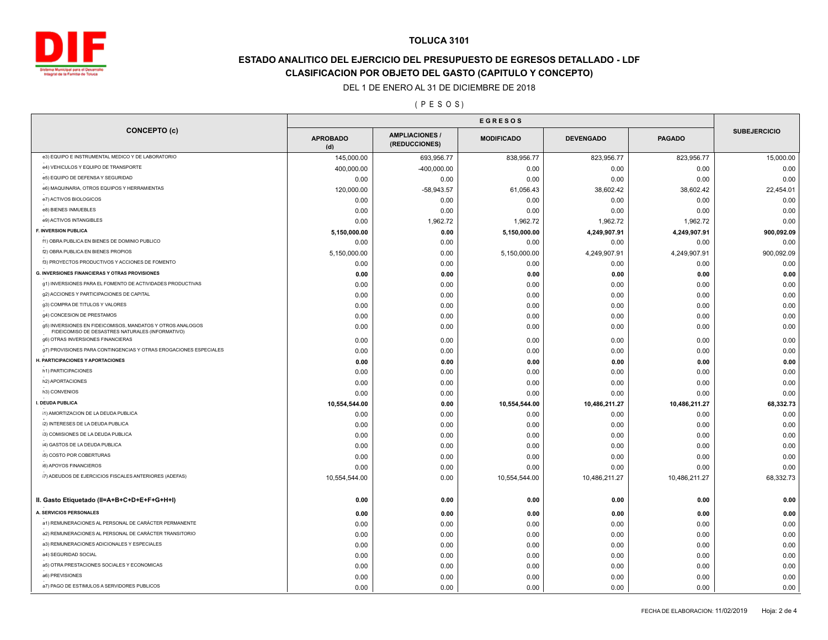

# **ESTADO ANALITICO DEL EJERCICIO DEL PRESUPUESTO DE EGRESOS DETALLADO - LDF CLASIFICACION POR OBJETO DEL GASTO (CAPITULO Y CONCEPTO)**

#### DEL 1 DE ENERO AL 31 DE DICIEMBRE DE 2018

### ( P E S O S )

|                                                                                                                |                        | <b>EGRESOS</b>                         |                   |                  |               |                     |
|----------------------------------------------------------------------------------------------------------------|------------------------|----------------------------------------|-------------------|------------------|---------------|---------------------|
| <b>CONCEPTO (c)</b>                                                                                            | <b>APROBADO</b><br>(d) | <b>AMPLIACIONES /</b><br>(REDUCCIONES) | <b>MODIFICADO</b> | <b>DEVENGADO</b> | <b>PAGADO</b> | <b>SUBEJERCICIO</b> |
| e3) EQUIPO E INSTRUMENTAL MEDICO Y DE LABORATORIO                                                              | 145,000.00             | 693,956.77                             | 838,956.77        | 823,956.77       | 823,956.77    | 15,000.00           |
| e4) VEHICULOS Y EQUIPO DE TRANSPORTE                                                                           | 400,000.00             | $-400,000.00$                          | 0.00              | 0.00             | 0.00          | 0.00                |
| e5) EQUIPO DE DEFENSA Y SEGURIDAD                                                                              | 0.00                   | 0.00                                   | 0.00              | 0.00             | 0.00          | 0.00                |
| e6) MAQUINARIA, OTROS EQUIPOS Y HERRAMIENTAS                                                                   | 120,000.00             | $-58,943.57$                           | 61,056.43         | 38,602.42        | 38,602.42     | 22,454.01           |
| e7) ACTIVOS BIOLOGICOS                                                                                         | 0.00                   | 0.00                                   | 0.00              | 0.00             | 0.00          | 0.00                |
| e8) BIENES INMUEBLES                                                                                           | 0.00                   | 0.00                                   | 0.00              | 0.00             | 0.00          | 0.00                |
| e9) ACTIVOS INTANGIBLES                                                                                        | 0.00                   | 1,962.72                               | 1,962.72          | 1,962.72         | 1,962.72      | 0.00                |
| F. INVERSION PUBLICA                                                                                           | 5,150,000.00           | 0.00                                   | 5,150,000.00      | 4,249,907.91     | 4,249,907.91  | 900,092.09          |
| f1) OBRA PUBLICA EN BIENES DE DOMINIO PUBLICO                                                                  | 0.00                   | 0.00                                   | 0.00              | 0.00             | 0.00          | 0.00                |
| f2) OBRA PUBLICA EN BIENES PROPIOS                                                                             | 5,150,000.00           | 0.00                                   | 5,150,000.00      | 4,249,907.91     | 4,249,907.91  | 900,092.09          |
| f3) PROYECTOS PRODUCTIVOS Y ACCIONES DE FOMENTO                                                                | 0.00                   | 0.00                                   | 0.00              | 0.00             | 0.00          | 0.00                |
| <b>G. INVERSIONES FINANCIERAS Y OTRAS PROVISIONES</b>                                                          | 0.00                   | 0.00                                   | 0.00              | 0.00             | 0.00          | 0.00                |
| g1) INVERSIONES PARA EL FOMENTO DE ACTIVIDADES PRODUCTIVAS                                                     | 0.00                   | 0.00                                   | 0.00              | 0.00             | 0.00          | 0.00                |
| g2) ACCIONES Y PARTICIPACIONES DE CAPITAL                                                                      | 0.00                   | 0.00                                   | 0.00              | 0.00             | 0.00          | 0.00                |
| g3) COMPRA DE TITULOS Y VALORES                                                                                | 0.00                   | 0.00                                   | 0.00              | 0.00             | 0.00          | 0.00                |
| g4) CONCESION DE PRESTAMOS                                                                                     | 0.00                   | 0.00                                   | 0.00              | 0.00             | 0.00          | 0.00                |
| g5) INVERSIONES EN FIDEICOMISOS, MANDATOS Y OTROS ANALOGOS<br>FIDEICOMISO DE DESASTRES NATURALES (INFORMATIVO) | 0.00                   | 0.00                                   | 0.00              | 0.00             | 0.00          | 0.00                |
| g6) OTRAS INVERSIONES FINANCIERAS                                                                              | 0.00                   | 0.00                                   | 0.00              | 0.00             | 0.00          | 0.00                |
| g7) PROVISIONES PARA CONTINGENCIAS Y OTRAS EROGACIONES ESPECIALES                                              | 0.00                   | 0.00                                   | 0.00              | 0.00             | 0.00          | 0.00                |
| H. PARTICIPACIONES Y APORTACIONES                                                                              | 0.00                   | 0.00                                   | 0.00              | 0.00             | 0.00          | 0.00                |
| h1) PARTICIPACIONES                                                                                            | 0.00                   | 0.00                                   | 0.00              | 0.00             | 0.00          | 0.00                |
| h2) APORTACIONES                                                                                               | 0.00                   | 0.00                                   | 0.00              | 0.00             | 0.00          | 0.00                |
| h3) CONVENIOS                                                                                                  | 0.00                   | 0.00                                   | 0.00              | 0.00             | 0.00          | 0.00                |
| I. DEUDA PUBLICA                                                                                               | 10,554,544.00          | 0.00                                   | 10,554,544.00     | 10,486,211.27    | 10,486,211.27 | 68,332.73           |
| i1) AMORTIZACION DE LA DEUDA PUBLICA                                                                           | 0.00                   | 0.00                                   | 0.00              | 0.00             | 0.00          | 0.00                |
| i2) INTERESES DE LA DEUDA PUBLICA                                                                              | 0.00                   | 0.00                                   | 0.00              | 0.00             | 0.00          | 0.00                |
| i3) COMISIONES DE LA DEUDA PUBLICA                                                                             | 0.00                   | 0.00                                   | 0.00              | 0.00             | 0.00          | 0.00                |
| i4) GASTOS DE LA DEUDA PUBLICA                                                                                 | 0.00                   | 0.00                                   | 0.00              | 0.00             | 0.00          | 0.00                |
| i5) COSTO POR COBERTURAS                                                                                       | 0.00                   | 0.00                                   | 0.00              | 0.00             | 0.00          | 0.00                |
| i6) APOYOS FINANCIEROS                                                                                         | 0.00                   | 0.00                                   | 0.00              | 0.00             | 0.00          | 0.00                |
| i7) ADEUDOS DE EJERCICIOS FISCALES ANTERIORES (ADEFAS)                                                         | 10,554,544.00          | 0.00                                   | 10,554,544.00     | 10,486,211.27    | 10,486,211.27 | 68,332.73           |
| II. Gasto Etiquetado (II=A+B+C+D+E+F+G+H+I)                                                                    | 0.00                   | 0.00                                   | 0.00              | 0.00             | 0.00          | 0.00                |
| A. SERVICIOS PERSONALES                                                                                        | 0.00                   | 0.00                                   | 0.00              | 0.00             | 0.00          | 0.00                |
| a1) REMUNERACIONES AL PERSONAL DE CARÁCTER PERMANENTE                                                          | 0.00                   | 0.00                                   | 0.00              | 0.00             | 0.00          | 0.00                |
| a2) REMUNERACIONES AL PERSONAL DE CARÁCTER TRANSITORIO                                                         | 0.00                   | 0.00                                   | 0.00              | 0.00             | 0.00          | 0.00                |
| a3) REMUNERACIONES ADICIONALES Y ESPECIALES                                                                    | 0.00                   | 0.00                                   | 0.00              | 0.00             | 0.00          | 0.00                |
| a4) SEGURIDAD SOCIAL                                                                                           | 0.00                   | 0.00                                   | 0.00              | 0.00             | 0.00          | 0.00                |
| a5) OTRA PRESTACIONES SOCIALES Y ECONOMICAS                                                                    | 0.00                   | 0.00                                   | 0.00              | 0.00             | 0.00          | 0.00                |
| a6) PREVISIONES                                                                                                | 0.00                   | 0.00                                   | 0.00              | 0.00             | 0.00          | 0.00                |
| a7) PAGO DE ESTIMULOS A SERVIDORES PUBLICOS                                                                    | 0.00                   | 0.00                                   | 0.00              | 0.00             | 0.00          | 0.00                |
|                                                                                                                |                        |                                        |                   |                  |               |                     |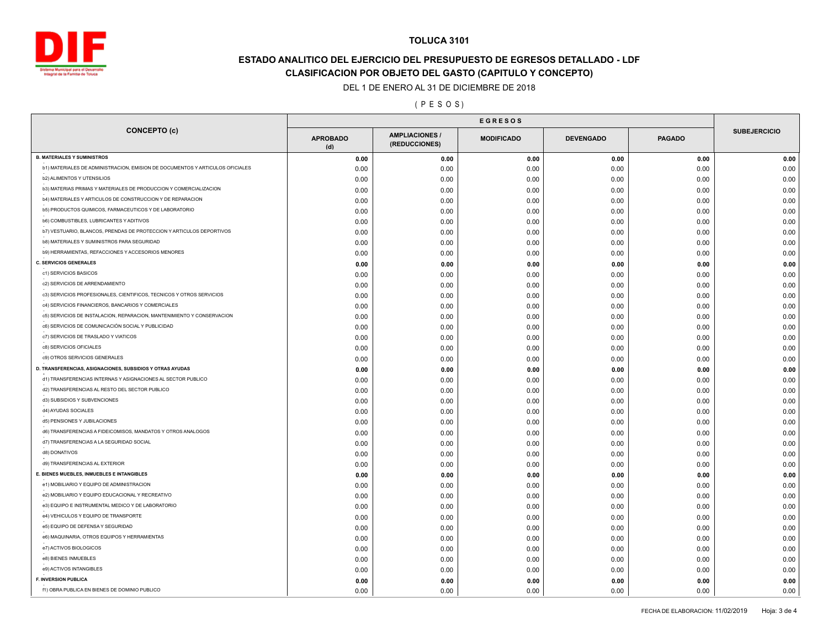

# **ESTADO ANALITICO DEL EJERCICIO DEL PRESUPUESTO DE EGRESOS DETALLADO - LDF CLASIFICACION POR OBJETO DEL GASTO (CAPITULO Y CONCEPTO)**

DEL 1 DE ENERO AL 31 DE DICIEMBRE DE 2018

( P E S O S )

| <b>CONCEPTO (c)</b><br><b>AMPLIACIONES</b><br><b>APROBADO</b><br><b>MODIFICADO</b><br><b>DEVENGADO</b><br><b>PAGADO</b><br>(REDUCCIONES)<br>(d)<br>0.00<br>0.00<br>0.00<br>0.00<br>0.00<br>b1) MATERIALES DE ADMINISTRACION, EMISION DE DOCUMENTOS Y ARTICULOS OFICIALES<br>0.00<br>0.00<br>0.00<br>0.00<br>0.00<br><b>b2) ALIMENTOS Y UTENSILIOS</b><br>0.00<br>0.00<br>0.00<br>0.00<br>0.00<br>b3) MATERIAS PRIMAS Y MATERIALES DE PRODUCCION Y COMERCIALIZACION<br>0.00<br>0.00<br>0.00<br>0.00<br>0.00<br>b4) MATERIALES Y ARTICULOS DE CONSTRUCCION Y DE REPARACION<br>0.00<br>0.00<br>0.00<br>0.00<br>0.00<br>b5) PRODUCTOS QUIMICOS, FARMACEUTICOS Y DE LABORATORIO<br>0.00<br>0.00<br>0.00<br>0.00<br>0.00<br><b>b6) COMBUSTIBLES, LUBRICANTES Y ADITIVOS</b><br>0.00<br>0.00<br>0.00<br>0.00<br>0.00<br>b7) VESTUARIO, BLANCOS, PRENDAS DE PROTECCION Y ARTICULOS DEPORTIVOS<br>0.00<br>0.00<br>0.00<br>0.00<br>0.00<br>b8) MATERIALES Y SUMINISTROS PARA SEGURIDAD<br>0.00<br>0.00<br>0.00<br>0.00<br>0.00<br>b9) HERRAMIENTAS, REFACCIONES Y ACCESORIOS MENORES<br>0.00<br>0.00<br>0.00<br>0.00<br>0.00<br>0.00<br>0.00<br>0.00<br>0.00<br>0.00<br>c1) SERVICIOS BASICOS<br>0.00<br>0.00<br>0.00<br>0.00<br>0.00<br>c2) SERVICIOS DE ARRENDAMIENTO<br>0.00<br>0.00<br>0.00<br>0.00<br>0.00<br>c3) SERVICIOS PROFESIONALES, CIENTIFICOS, TECNICOS Y OTROS SERVICIOS<br>0.00<br>0.00<br>0.00<br>0.00<br>0.00<br>c4) SERVICIOS FINANCIEROS, BANCARIOS Y COMERCIALES<br>0.00<br>0.00<br>0.00<br>0.00<br>0.00<br>c5) SERVICIOS DE INSTALACION, REPARACION, MANTENIMIENTO Y CONSERVACION<br>0.00<br>0.00<br>0.00<br>0.00<br>0.00<br>c6) SERVICIOS DE COMUNICACIÓN SOCIAL Y PUBLICIDAD<br>0.00<br>0.00<br>0.00<br>0.00<br>0.00<br>c7) SERVICIOS DE TRASLADO Y VIATICOS<br>0.00<br>0.00<br>0.00<br>0.00<br>0.00<br>c8) SERVICIOS OFICIALES<br>0.00<br>0.00<br>0.00<br>0.00<br>0.00<br>c9) OTROS SERVICIOS GENERALES<br>0.00<br>0.00<br>0.00<br>0.00<br>0.00<br>0.00<br>0.00<br>0.00<br>0.00<br>0.00<br>d1) TRANSFERENCIAS INTERNAS Y ASIGNACIONES AL SECTOR PUBLICO<br>0.00<br>0.00<br>0.00<br>0.00<br>0.00<br>d2) TRANSFERENCIAS AL RESTO DEL SECTOR PUBLICO<br>0.00<br>0.00<br>0.00<br>0.00<br>0.00<br>d3) SUBSIDIOS Y SUBVENCIONES<br>0.00<br>0.00<br>0.00<br>0.00<br>0.00<br>d4) AYUDAS SOCIALES<br>0.00<br>0.00<br>0.00<br>0.00<br>0.00<br>d5) PENSIONES Y JUBILACIONES<br>0.00<br>0.00<br>0.00<br>0.00<br>0.00<br>d6) TRANSFERENCIAS A FIDEICOMISOS, MANDATOS Y OTROS ANALOGOS<br>0.00<br>0.00<br>0.00<br>0.00<br>0.00<br>d7) TRANSFERENCIAS A LA SEGURIDAD SOCIAL<br>0.00<br>0.00<br>0.00<br>0.00<br>0.00<br>d8) DONATIVOS<br>0.00<br>0.00<br>0.00<br>0.00<br>0.00<br>d9) TRANSFERENCIAS AL EXTERIOR<br>0.00<br>0.00<br>0.00<br>0.00<br>0.00<br>0.00<br>0.00<br>0.00<br>0.00<br>0.00<br>e1) MOBILIARIO Y EQUIPO DE ADMINISTRACION<br>0.00<br>0.00<br>0.00<br>0.00<br>0.00<br>e2) MOBILIARIO Y EQUIPO EDUCACIONAL Y RECREATIVO<br>0.00<br>0.00<br>0.00<br>0.00<br>0.00<br>e3) EQUIPO E INSTRUMENTAL MEDICO Y DE LABORATORIO<br>0.00<br>0.00<br>0.00<br>0.00<br>0.00<br>e4) VEHICULOS Y EQUIPO DE TRANSPORTE<br>0.00<br>0.00<br>0.00<br>0.00<br>0.00<br>e5) EQUIPO DE DEFENSA Y SEGURIDAD<br>0.00<br>0.00<br>0.00<br>0.00<br>0.00<br>e6) MAQUINARIA, OTROS EQUIPOS Y HERRAMIENTAS<br>0.00<br>0.00<br>0.00<br>0.00<br>0.00<br>e7) ACTIVOS BIOLOGICOS<br>0.00<br>0.00<br>0.00<br>0.00<br>0.00<br>e8) BIENES INMUEBLES<br>0.00<br>0.00<br>0.00<br>0.00<br>0.00<br>e9) ACTIVOS INTANGIBLES<br>0.00<br>0.00<br>0.00<br>0.00<br>0.00<br>F. INVERSION PUBLICA<br>0.00<br>0.00<br>0.00<br>0.00<br>0.00 |                                                           | <b>EGRESOS</b> |  |  |  |  |                     |
|--------------------------------------------------------------------------------------------------------------------------------------------------------------------------------------------------------------------------------------------------------------------------------------------------------------------------------------------------------------------------------------------------------------------------------------------------------------------------------------------------------------------------------------------------------------------------------------------------------------------------------------------------------------------------------------------------------------------------------------------------------------------------------------------------------------------------------------------------------------------------------------------------------------------------------------------------------------------------------------------------------------------------------------------------------------------------------------------------------------------------------------------------------------------------------------------------------------------------------------------------------------------------------------------------------------------------------------------------------------------------------------------------------------------------------------------------------------------------------------------------------------------------------------------------------------------------------------------------------------------------------------------------------------------------------------------------------------------------------------------------------------------------------------------------------------------------------------------------------------------------------------------------------------------------------------------------------------------------------------------------------------------------------------------------------------------------------------------------------------------------------------------------------------------------------------------------------------------------------------------------------------------------------------------------------------------------------------------------------------------------------------------------------------------------------------------------------------------------------------------------------------------------------------------------------------------------------------------------------------------------------------------------------------------------------------------------------------------------------------------------------------------------------------------------------------------------------------------------------------------------------------------------------------------------------------------------------------------------------------------------------------------------------------------------------------------------------------------------------------------------------------------------------------------------------------------------------------------------------------------------------------------------------------------------------------------------------------------------------------------------------------------------------------------------------------------------------------------------------------------------------------------------------------------------------------------------------------------------------|-----------------------------------------------------------|----------------|--|--|--|--|---------------------|
|                                                                                                                                                                                                                                                                                                                                                                                                                                                                                                                                                                                                                                                                                                                                                                                                                                                                                                                                                                                                                                                                                                                                                                                                                                                                                                                                                                                                                                                                                                                                                                                                                                                                                                                                                                                                                                                                                                                                                                                                                                                                                                                                                                                                                                                                                                                                                                                                                                                                                                                                                                                                                                                                                                                                                                                                                                                                                                                                                                                                                                                                                                                                                                                                                                                                                                                                                                                                                                                                                                                                                                                                        |                                                           |                |  |  |  |  | <b>SUBEJERCICIO</b> |
|                                                                                                                                                                                                                                                                                                                                                                                                                                                                                                                                                                                                                                                                                                                                                                                                                                                                                                                                                                                                                                                                                                                                                                                                                                                                                                                                                                                                                                                                                                                                                                                                                                                                                                                                                                                                                                                                                                                                                                                                                                                                                                                                                                                                                                                                                                                                                                                                                                                                                                                                                                                                                                                                                                                                                                                                                                                                                                                                                                                                                                                                                                                                                                                                                                                                                                                                                                                                                                                                                                                                                                                                        | <b>B. MATERIALES Y SUMINISTROS</b>                        |                |  |  |  |  | 0.00                |
|                                                                                                                                                                                                                                                                                                                                                                                                                                                                                                                                                                                                                                                                                                                                                                                                                                                                                                                                                                                                                                                                                                                                                                                                                                                                                                                                                                                                                                                                                                                                                                                                                                                                                                                                                                                                                                                                                                                                                                                                                                                                                                                                                                                                                                                                                                                                                                                                                                                                                                                                                                                                                                                                                                                                                                                                                                                                                                                                                                                                                                                                                                                                                                                                                                                                                                                                                                                                                                                                                                                                                                                                        |                                                           |                |  |  |  |  | 0.00                |
|                                                                                                                                                                                                                                                                                                                                                                                                                                                                                                                                                                                                                                                                                                                                                                                                                                                                                                                                                                                                                                                                                                                                                                                                                                                                                                                                                                                                                                                                                                                                                                                                                                                                                                                                                                                                                                                                                                                                                                                                                                                                                                                                                                                                                                                                                                                                                                                                                                                                                                                                                                                                                                                                                                                                                                                                                                                                                                                                                                                                                                                                                                                                                                                                                                                                                                                                                                                                                                                                                                                                                                                                        |                                                           |                |  |  |  |  | 0.00                |
|                                                                                                                                                                                                                                                                                                                                                                                                                                                                                                                                                                                                                                                                                                                                                                                                                                                                                                                                                                                                                                                                                                                                                                                                                                                                                                                                                                                                                                                                                                                                                                                                                                                                                                                                                                                                                                                                                                                                                                                                                                                                                                                                                                                                                                                                                                                                                                                                                                                                                                                                                                                                                                                                                                                                                                                                                                                                                                                                                                                                                                                                                                                                                                                                                                                                                                                                                                                                                                                                                                                                                                                                        |                                                           |                |  |  |  |  | 0.00                |
|                                                                                                                                                                                                                                                                                                                                                                                                                                                                                                                                                                                                                                                                                                                                                                                                                                                                                                                                                                                                                                                                                                                                                                                                                                                                                                                                                                                                                                                                                                                                                                                                                                                                                                                                                                                                                                                                                                                                                                                                                                                                                                                                                                                                                                                                                                                                                                                                                                                                                                                                                                                                                                                                                                                                                                                                                                                                                                                                                                                                                                                                                                                                                                                                                                                                                                                                                                                                                                                                                                                                                                                                        |                                                           |                |  |  |  |  | 0.00                |
|                                                                                                                                                                                                                                                                                                                                                                                                                                                                                                                                                                                                                                                                                                                                                                                                                                                                                                                                                                                                                                                                                                                                                                                                                                                                                                                                                                                                                                                                                                                                                                                                                                                                                                                                                                                                                                                                                                                                                                                                                                                                                                                                                                                                                                                                                                                                                                                                                                                                                                                                                                                                                                                                                                                                                                                                                                                                                                                                                                                                                                                                                                                                                                                                                                                                                                                                                                                                                                                                                                                                                                                                        |                                                           |                |  |  |  |  | 0.00                |
|                                                                                                                                                                                                                                                                                                                                                                                                                                                                                                                                                                                                                                                                                                                                                                                                                                                                                                                                                                                                                                                                                                                                                                                                                                                                                                                                                                                                                                                                                                                                                                                                                                                                                                                                                                                                                                                                                                                                                                                                                                                                                                                                                                                                                                                                                                                                                                                                                                                                                                                                                                                                                                                                                                                                                                                                                                                                                                                                                                                                                                                                                                                                                                                                                                                                                                                                                                                                                                                                                                                                                                                                        |                                                           |                |  |  |  |  | 0.00                |
|                                                                                                                                                                                                                                                                                                                                                                                                                                                                                                                                                                                                                                                                                                                                                                                                                                                                                                                                                                                                                                                                                                                                                                                                                                                                                                                                                                                                                                                                                                                                                                                                                                                                                                                                                                                                                                                                                                                                                                                                                                                                                                                                                                                                                                                                                                                                                                                                                                                                                                                                                                                                                                                                                                                                                                                                                                                                                                                                                                                                                                                                                                                                                                                                                                                                                                                                                                                                                                                                                                                                                                                                        |                                                           |                |  |  |  |  | 0.00                |
|                                                                                                                                                                                                                                                                                                                                                                                                                                                                                                                                                                                                                                                                                                                                                                                                                                                                                                                                                                                                                                                                                                                                                                                                                                                                                                                                                                                                                                                                                                                                                                                                                                                                                                                                                                                                                                                                                                                                                                                                                                                                                                                                                                                                                                                                                                                                                                                                                                                                                                                                                                                                                                                                                                                                                                                                                                                                                                                                                                                                                                                                                                                                                                                                                                                                                                                                                                                                                                                                                                                                                                                                        |                                                           |                |  |  |  |  | 0.00                |
|                                                                                                                                                                                                                                                                                                                                                                                                                                                                                                                                                                                                                                                                                                                                                                                                                                                                                                                                                                                                                                                                                                                                                                                                                                                                                                                                                                                                                                                                                                                                                                                                                                                                                                                                                                                                                                                                                                                                                                                                                                                                                                                                                                                                                                                                                                                                                                                                                                                                                                                                                                                                                                                                                                                                                                                                                                                                                                                                                                                                                                                                                                                                                                                                                                                                                                                                                                                                                                                                                                                                                                                                        |                                                           |                |  |  |  |  | 0.00                |
|                                                                                                                                                                                                                                                                                                                                                                                                                                                                                                                                                                                                                                                                                                                                                                                                                                                                                                                                                                                                                                                                                                                                                                                                                                                                                                                                                                                                                                                                                                                                                                                                                                                                                                                                                                                                                                                                                                                                                                                                                                                                                                                                                                                                                                                                                                                                                                                                                                                                                                                                                                                                                                                                                                                                                                                                                                                                                                                                                                                                                                                                                                                                                                                                                                                                                                                                                                                                                                                                                                                                                                                                        | <b>C. SERVICIOS GENERALES</b>                             |                |  |  |  |  | 0.00                |
|                                                                                                                                                                                                                                                                                                                                                                                                                                                                                                                                                                                                                                                                                                                                                                                                                                                                                                                                                                                                                                                                                                                                                                                                                                                                                                                                                                                                                                                                                                                                                                                                                                                                                                                                                                                                                                                                                                                                                                                                                                                                                                                                                                                                                                                                                                                                                                                                                                                                                                                                                                                                                                                                                                                                                                                                                                                                                                                                                                                                                                                                                                                                                                                                                                                                                                                                                                                                                                                                                                                                                                                                        |                                                           |                |  |  |  |  | 0.00                |
|                                                                                                                                                                                                                                                                                                                                                                                                                                                                                                                                                                                                                                                                                                                                                                                                                                                                                                                                                                                                                                                                                                                                                                                                                                                                                                                                                                                                                                                                                                                                                                                                                                                                                                                                                                                                                                                                                                                                                                                                                                                                                                                                                                                                                                                                                                                                                                                                                                                                                                                                                                                                                                                                                                                                                                                                                                                                                                                                                                                                                                                                                                                                                                                                                                                                                                                                                                                                                                                                                                                                                                                                        |                                                           |                |  |  |  |  | 0.00                |
|                                                                                                                                                                                                                                                                                                                                                                                                                                                                                                                                                                                                                                                                                                                                                                                                                                                                                                                                                                                                                                                                                                                                                                                                                                                                                                                                                                                                                                                                                                                                                                                                                                                                                                                                                                                                                                                                                                                                                                                                                                                                                                                                                                                                                                                                                                                                                                                                                                                                                                                                                                                                                                                                                                                                                                                                                                                                                                                                                                                                                                                                                                                                                                                                                                                                                                                                                                                                                                                                                                                                                                                                        |                                                           |                |  |  |  |  | 0.00                |
|                                                                                                                                                                                                                                                                                                                                                                                                                                                                                                                                                                                                                                                                                                                                                                                                                                                                                                                                                                                                                                                                                                                                                                                                                                                                                                                                                                                                                                                                                                                                                                                                                                                                                                                                                                                                                                                                                                                                                                                                                                                                                                                                                                                                                                                                                                                                                                                                                                                                                                                                                                                                                                                                                                                                                                                                                                                                                                                                                                                                                                                                                                                                                                                                                                                                                                                                                                                                                                                                                                                                                                                                        |                                                           |                |  |  |  |  | 0.00                |
|                                                                                                                                                                                                                                                                                                                                                                                                                                                                                                                                                                                                                                                                                                                                                                                                                                                                                                                                                                                                                                                                                                                                                                                                                                                                                                                                                                                                                                                                                                                                                                                                                                                                                                                                                                                                                                                                                                                                                                                                                                                                                                                                                                                                                                                                                                                                                                                                                                                                                                                                                                                                                                                                                                                                                                                                                                                                                                                                                                                                                                                                                                                                                                                                                                                                                                                                                                                                                                                                                                                                                                                                        |                                                           |                |  |  |  |  | 0.00                |
|                                                                                                                                                                                                                                                                                                                                                                                                                                                                                                                                                                                                                                                                                                                                                                                                                                                                                                                                                                                                                                                                                                                                                                                                                                                                                                                                                                                                                                                                                                                                                                                                                                                                                                                                                                                                                                                                                                                                                                                                                                                                                                                                                                                                                                                                                                                                                                                                                                                                                                                                                                                                                                                                                                                                                                                                                                                                                                                                                                                                                                                                                                                                                                                                                                                                                                                                                                                                                                                                                                                                                                                                        |                                                           |                |  |  |  |  | 0.00                |
|                                                                                                                                                                                                                                                                                                                                                                                                                                                                                                                                                                                                                                                                                                                                                                                                                                                                                                                                                                                                                                                                                                                                                                                                                                                                                                                                                                                                                                                                                                                                                                                                                                                                                                                                                                                                                                                                                                                                                                                                                                                                                                                                                                                                                                                                                                                                                                                                                                                                                                                                                                                                                                                                                                                                                                                                                                                                                                                                                                                                                                                                                                                                                                                                                                                                                                                                                                                                                                                                                                                                                                                                        |                                                           |                |  |  |  |  | 0.00                |
|                                                                                                                                                                                                                                                                                                                                                                                                                                                                                                                                                                                                                                                                                                                                                                                                                                                                                                                                                                                                                                                                                                                                                                                                                                                                                                                                                                                                                                                                                                                                                                                                                                                                                                                                                                                                                                                                                                                                                                                                                                                                                                                                                                                                                                                                                                                                                                                                                                                                                                                                                                                                                                                                                                                                                                                                                                                                                                                                                                                                                                                                                                                                                                                                                                                                                                                                                                                                                                                                                                                                                                                                        |                                                           |                |  |  |  |  | 0.00                |
|                                                                                                                                                                                                                                                                                                                                                                                                                                                                                                                                                                                                                                                                                                                                                                                                                                                                                                                                                                                                                                                                                                                                                                                                                                                                                                                                                                                                                                                                                                                                                                                                                                                                                                                                                                                                                                                                                                                                                                                                                                                                                                                                                                                                                                                                                                                                                                                                                                                                                                                                                                                                                                                                                                                                                                                                                                                                                                                                                                                                                                                                                                                                                                                                                                                                                                                                                                                                                                                                                                                                                                                                        |                                                           |                |  |  |  |  | 0.00                |
|                                                                                                                                                                                                                                                                                                                                                                                                                                                                                                                                                                                                                                                                                                                                                                                                                                                                                                                                                                                                                                                                                                                                                                                                                                                                                                                                                                                                                                                                                                                                                                                                                                                                                                                                                                                                                                                                                                                                                                                                                                                                                                                                                                                                                                                                                                                                                                                                                                                                                                                                                                                                                                                                                                                                                                                                                                                                                                                                                                                                                                                                                                                                                                                                                                                                                                                                                                                                                                                                                                                                                                                                        | D. TRANSFERENCIAS, ASIGNACIONES, SUBSIDIOS Y OTRAS AYUDAS |                |  |  |  |  | 0.00                |
|                                                                                                                                                                                                                                                                                                                                                                                                                                                                                                                                                                                                                                                                                                                                                                                                                                                                                                                                                                                                                                                                                                                                                                                                                                                                                                                                                                                                                                                                                                                                                                                                                                                                                                                                                                                                                                                                                                                                                                                                                                                                                                                                                                                                                                                                                                                                                                                                                                                                                                                                                                                                                                                                                                                                                                                                                                                                                                                                                                                                                                                                                                                                                                                                                                                                                                                                                                                                                                                                                                                                                                                                        |                                                           |                |  |  |  |  | 0.00                |
|                                                                                                                                                                                                                                                                                                                                                                                                                                                                                                                                                                                                                                                                                                                                                                                                                                                                                                                                                                                                                                                                                                                                                                                                                                                                                                                                                                                                                                                                                                                                                                                                                                                                                                                                                                                                                                                                                                                                                                                                                                                                                                                                                                                                                                                                                                                                                                                                                                                                                                                                                                                                                                                                                                                                                                                                                                                                                                                                                                                                                                                                                                                                                                                                                                                                                                                                                                                                                                                                                                                                                                                                        |                                                           |                |  |  |  |  | 0.00                |
|                                                                                                                                                                                                                                                                                                                                                                                                                                                                                                                                                                                                                                                                                                                                                                                                                                                                                                                                                                                                                                                                                                                                                                                                                                                                                                                                                                                                                                                                                                                                                                                                                                                                                                                                                                                                                                                                                                                                                                                                                                                                                                                                                                                                                                                                                                                                                                                                                                                                                                                                                                                                                                                                                                                                                                                                                                                                                                                                                                                                                                                                                                                                                                                                                                                                                                                                                                                                                                                                                                                                                                                                        |                                                           |                |  |  |  |  | 0.00                |
|                                                                                                                                                                                                                                                                                                                                                                                                                                                                                                                                                                                                                                                                                                                                                                                                                                                                                                                                                                                                                                                                                                                                                                                                                                                                                                                                                                                                                                                                                                                                                                                                                                                                                                                                                                                                                                                                                                                                                                                                                                                                                                                                                                                                                                                                                                                                                                                                                                                                                                                                                                                                                                                                                                                                                                                                                                                                                                                                                                                                                                                                                                                                                                                                                                                                                                                                                                                                                                                                                                                                                                                                        |                                                           |                |  |  |  |  | 0.00                |
|                                                                                                                                                                                                                                                                                                                                                                                                                                                                                                                                                                                                                                                                                                                                                                                                                                                                                                                                                                                                                                                                                                                                                                                                                                                                                                                                                                                                                                                                                                                                                                                                                                                                                                                                                                                                                                                                                                                                                                                                                                                                                                                                                                                                                                                                                                                                                                                                                                                                                                                                                                                                                                                                                                                                                                                                                                                                                                                                                                                                                                                                                                                                                                                                                                                                                                                                                                                                                                                                                                                                                                                                        |                                                           |                |  |  |  |  | 0.00                |
|                                                                                                                                                                                                                                                                                                                                                                                                                                                                                                                                                                                                                                                                                                                                                                                                                                                                                                                                                                                                                                                                                                                                                                                                                                                                                                                                                                                                                                                                                                                                                                                                                                                                                                                                                                                                                                                                                                                                                                                                                                                                                                                                                                                                                                                                                                                                                                                                                                                                                                                                                                                                                                                                                                                                                                                                                                                                                                                                                                                                                                                                                                                                                                                                                                                                                                                                                                                                                                                                                                                                                                                                        |                                                           |                |  |  |  |  | 0.00                |
|                                                                                                                                                                                                                                                                                                                                                                                                                                                                                                                                                                                                                                                                                                                                                                                                                                                                                                                                                                                                                                                                                                                                                                                                                                                                                                                                                                                                                                                                                                                                                                                                                                                                                                                                                                                                                                                                                                                                                                                                                                                                                                                                                                                                                                                                                                                                                                                                                                                                                                                                                                                                                                                                                                                                                                                                                                                                                                                                                                                                                                                                                                                                                                                                                                                                                                                                                                                                                                                                                                                                                                                                        |                                                           |                |  |  |  |  | 0.00                |
|                                                                                                                                                                                                                                                                                                                                                                                                                                                                                                                                                                                                                                                                                                                                                                                                                                                                                                                                                                                                                                                                                                                                                                                                                                                                                                                                                                                                                                                                                                                                                                                                                                                                                                                                                                                                                                                                                                                                                                                                                                                                                                                                                                                                                                                                                                                                                                                                                                                                                                                                                                                                                                                                                                                                                                                                                                                                                                                                                                                                                                                                                                                                                                                                                                                                                                                                                                                                                                                                                                                                                                                                        |                                                           |                |  |  |  |  | 0.00                |
|                                                                                                                                                                                                                                                                                                                                                                                                                                                                                                                                                                                                                                                                                                                                                                                                                                                                                                                                                                                                                                                                                                                                                                                                                                                                                                                                                                                                                                                                                                                                                                                                                                                                                                                                                                                                                                                                                                                                                                                                                                                                                                                                                                                                                                                                                                                                                                                                                                                                                                                                                                                                                                                                                                                                                                                                                                                                                                                                                                                                                                                                                                                                                                                                                                                                                                                                                                                                                                                                                                                                                                                                        |                                                           |                |  |  |  |  | 0.00                |
|                                                                                                                                                                                                                                                                                                                                                                                                                                                                                                                                                                                                                                                                                                                                                                                                                                                                                                                                                                                                                                                                                                                                                                                                                                                                                                                                                                                                                                                                                                                                                                                                                                                                                                                                                                                                                                                                                                                                                                                                                                                                                                                                                                                                                                                                                                                                                                                                                                                                                                                                                                                                                                                                                                                                                                                                                                                                                                                                                                                                                                                                                                                                                                                                                                                                                                                                                                                                                                                                                                                                                                                                        | E. BIENES MUEBLES, INMUEBLES E INTANGIBLES                |                |  |  |  |  | 0.00                |
|                                                                                                                                                                                                                                                                                                                                                                                                                                                                                                                                                                                                                                                                                                                                                                                                                                                                                                                                                                                                                                                                                                                                                                                                                                                                                                                                                                                                                                                                                                                                                                                                                                                                                                                                                                                                                                                                                                                                                                                                                                                                                                                                                                                                                                                                                                                                                                                                                                                                                                                                                                                                                                                                                                                                                                                                                                                                                                                                                                                                                                                                                                                                                                                                                                                                                                                                                                                                                                                                                                                                                                                                        |                                                           |                |  |  |  |  | 0.00                |
|                                                                                                                                                                                                                                                                                                                                                                                                                                                                                                                                                                                                                                                                                                                                                                                                                                                                                                                                                                                                                                                                                                                                                                                                                                                                                                                                                                                                                                                                                                                                                                                                                                                                                                                                                                                                                                                                                                                                                                                                                                                                                                                                                                                                                                                                                                                                                                                                                                                                                                                                                                                                                                                                                                                                                                                                                                                                                                                                                                                                                                                                                                                                                                                                                                                                                                                                                                                                                                                                                                                                                                                                        |                                                           |                |  |  |  |  | 0.00                |
|                                                                                                                                                                                                                                                                                                                                                                                                                                                                                                                                                                                                                                                                                                                                                                                                                                                                                                                                                                                                                                                                                                                                                                                                                                                                                                                                                                                                                                                                                                                                                                                                                                                                                                                                                                                                                                                                                                                                                                                                                                                                                                                                                                                                                                                                                                                                                                                                                                                                                                                                                                                                                                                                                                                                                                                                                                                                                                                                                                                                                                                                                                                                                                                                                                                                                                                                                                                                                                                                                                                                                                                                        |                                                           |                |  |  |  |  | 0.00                |
|                                                                                                                                                                                                                                                                                                                                                                                                                                                                                                                                                                                                                                                                                                                                                                                                                                                                                                                                                                                                                                                                                                                                                                                                                                                                                                                                                                                                                                                                                                                                                                                                                                                                                                                                                                                                                                                                                                                                                                                                                                                                                                                                                                                                                                                                                                                                                                                                                                                                                                                                                                                                                                                                                                                                                                                                                                                                                                                                                                                                                                                                                                                                                                                                                                                                                                                                                                                                                                                                                                                                                                                                        |                                                           |                |  |  |  |  | 0.00                |
|                                                                                                                                                                                                                                                                                                                                                                                                                                                                                                                                                                                                                                                                                                                                                                                                                                                                                                                                                                                                                                                                                                                                                                                                                                                                                                                                                                                                                                                                                                                                                                                                                                                                                                                                                                                                                                                                                                                                                                                                                                                                                                                                                                                                                                                                                                                                                                                                                                                                                                                                                                                                                                                                                                                                                                                                                                                                                                                                                                                                                                                                                                                                                                                                                                                                                                                                                                                                                                                                                                                                                                                                        |                                                           |                |  |  |  |  | 0.00                |
|                                                                                                                                                                                                                                                                                                                                                                                                                                                                                                                                                                                                                                                                                                                                                                                                                                                                                                                                                                                                                                                                                                                                                                                                                                                                                                                                                                                                                                                                                                                                                                                                                                                                                                                                                                                                                                                                                                                                                                                                                                                                                                                                                                                                                                                                                                                                                                                                                                                                                                                                                                                                                                                                                                                                                                                                                                                                                                                                                                                                                                                                                                                                                                                                                                                                                                                                                                                                                                                                                                                                                                                                        |                                                           |                |  |  |  |  | 0.00                |
|                                                                                                                                                                                                                                                                                                                                                                                                                                                                                                                                                                                                                                                                                                                                                                                                                                                                                                                                                                                                                                                                                                                                                                                                                                                                                                                                                                                                                                                                                                                                                                                                                                                                                                                                                                                                                                                                                                                                                                                                                                                                                                                                                                                                                                                                                                                                                                                                                                                                                                                                                                                                                                                                                                                                                                                                                                                                                                                                                                                                                                                                                                                                                                                                                                                                                                                                                                                                                                                                                                                                                                                                        |                                                           |                |  |  |  |  |                     |
|                                                                                                                                                                                                                                                                                                                                                                                                                                                                                                                                                                                                                                                                                                                                                                                                                                                                                                                                                                                                                                                                                                                                                                                                                                                                                                                                                                                                                                                                                                                                                                                                                                                                                                                                                                                                                                                                                                                                                                                                                                                                                                                                                                                                                                                                                                                                                                                                                                                                                                                                                                                                                                                                                                                                                                                                                                                                                                                                                                                                                                                                                                                                                                                                                                                                                                                                                                                                                                                                                                                                                                                                        |                                                           |                |  |  |  |  | 0.00                |
|                                                                                                                                                                                                                                                                                                                                                                                                                                                                                                                                                                                                                                                                                                                                                                                                                                                                                                                                                                                                                                                                                                                                                                                                                                                                                                                                                                                                                                                                                                                                                                                                                                                                                                                                                                                                                                                                                                                                                                                                                                                                                                                                                                                                                                                                                                                                                                                                                                                                                                                                                                                                                                                                                                                                                                                                                                                                                                                                                                                                                                                                                                                                                                                                                                                                                                                                                                                                                                                                                                                                                                                                        |                                                           |                |  |  |  |  | 0.00                |
|                                                                                                                                                                                                                                                                                                                                                                                                                                                                                                                                                                                                                                                                                                                                                                                                                                                                                                                                                                                                                                                                                                                                                                                                                                                                                                                                                                                                                                                                                                                                                                                                                                                                                                                                                                                                                                                                                                                                                                                                                                                                                                                                                                                                                                                                                                                                                                                                                                                                                                                                                                                                                                                                                                                                                                                                                                                                                                                                                                                                                                                                                                                                                                                                                                                                                                                                                                                                                                                                                                                                                                                                        |                                                           |                |  |  |  |  | 0.00                |
| 0.00<br>0.00<br>0.00<br>0.00<br>0.00                                                                                                                                                                                                                                                                                                                                                                                                                                                                                                                                                                                                                                                                                                                                                                                                                                                                                                                                                                                                                                                                                                                                                                                                                                                                                                                                                                                                                                                                                                                                                                                                                                                                                                                                                                                                                                                                                                                                                                                                                                                                                                                                                                                                                                                                                                                                                                                                                                                                                                                                                                                                                                                                                                                                                                                                                                                                                                                                                                                                                                                                                                                                                                                                                                                                                                                                                                                                                                                                                                                                                                   | f1) OBRA PUBLICA EN BIENES DE DOMINIO PUBLICO             |                |  |  |  |  | 0.00<br>0.00        |